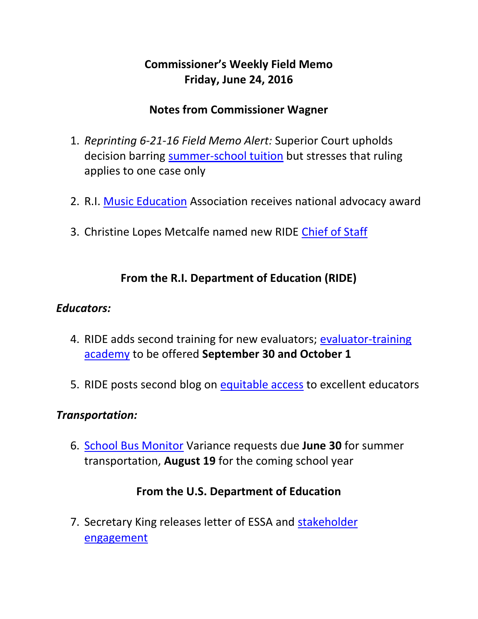# **Commissioner's Weekly Field Memo Friday, June 24, 2016**

### **Notes from Commissioner Wagner**

- 1. *Reprinting 6-21-16 Field Memo Alert:* Superior Court upholds decision barring [summer-school tuition](#page-1-0) but stresses that ruling applies to one case only
- 2. R.I. Music Education Association receives national advocacy award
- 3. Christine Lopes Metcalfe named new RIDE [Chief of Staff](#page-3-0)

### **From the R.I. Department of Education (RIDE)**

#### *Educators:*

- 4. RIDE adds second training for new evaluators; evaluator-training [academy](#page-4-0) to be offered **September 30 and October 1**
- 5. RIDE posts second blog on [equitable access](#page-5-0) to excellent educators

#### *Transportation:*

6. [School Bus Monitor](#page-5-1) Variance requests due **June 30** for summer transportation, **August 19** for the coming school year

#### **From the U.S. Department of Education**

7. Secretary King releases letter of ESSA and [stakeholder](#page-5-2)  [engagement](#page-5-2)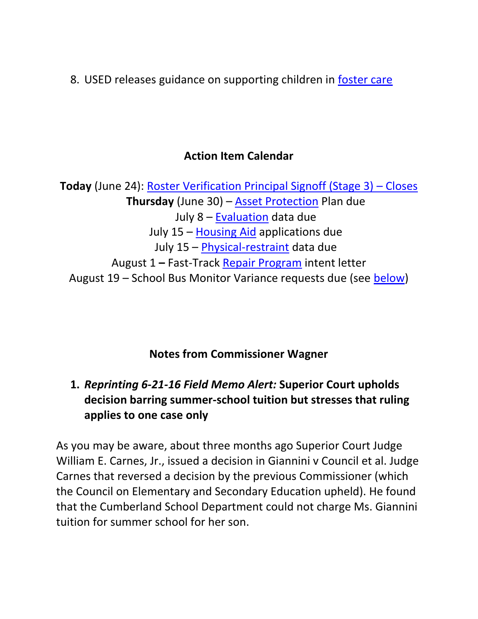8. USED releases guidance on supporting children in [foster care](#page-5-2)

### **Action Item Calendar**

**Today** (June 24): [Roster Verification Principal Signoff \(Stage 3\)](http://www.ride.ri.gov/TeachersAdministrators/EducatorEvaluation/EducatorPerformanceandSupportSystem(EPSS).aspx) – Closes **Thursday** (June 30) – [Asset Protection](http://ride.ri.gov/Portals/0/Uploads/Documents/FieldMemos/052016-FM.pdf) Plan due July 8 – [Evaluation](http://ride.ri.gov/Portals/0/Uploads/Documents/FieldMemos/042916-FM.pdf) data due July 15 – [Housing Aid](http://ride.ri.gov/Portals/0/Uploads/Documents/FieldMemos/052016-FM.pdf) applications due July 15 – [Physical-restraint](http://ride.ri.gov/Portals/0/Uploads/Documents/FieldMemos/061016-FM.pdf) data due August 1 **–** Fast-Track [Repair Program](http://ride.ri.gov/Portals/0/Uploads/Documents/FieldMemos/052016-FM.pdf) intent letter August 19 – School Bus Monitor Variance requests due (see [below\)](#page-5-1)

### **Notes from Commissioner Wagner**

# <span id="page-1-0"></span>**1.** *Reprinting 6-21-16 Field Memo Alert:* **Superior Court upholds decision barring summer-school tuition but stresses that ruling applies to one case only**

As you may be aware, about three months ago Superior Court Judge William E. Carnes, Jr., issued a decision in Giannini v Council et al. Judge Carnes that reversed a decision by the previous Commissioner (which the Council on Elementary and Secondary Education upheld). He found that the Cumberland School Department could not charge Ms. Giannini tuition for summer school for her son.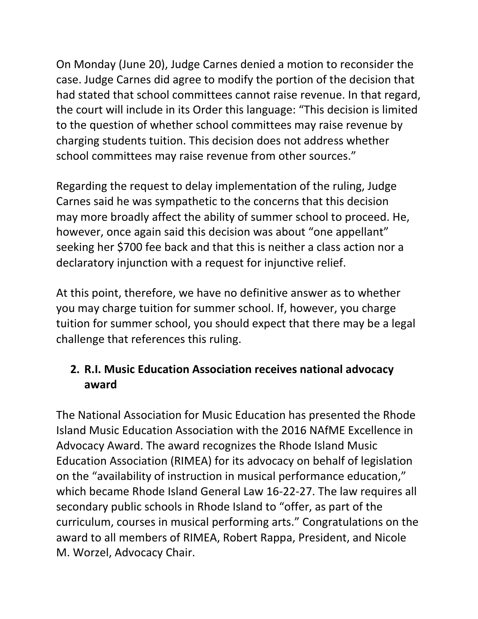On Monday (June 20), Judge Carnes denied a motion to reconsider the case. Judge Carnes did agree to modify the portion of the decision that had stated that school committees cannot raise revenue. In that regard, the court will include in its Order this language: "This decision is limited to the question of whether school committees may raise revenue by charging students tuition. This decision does not address whether school committees may raise revenue from other sources."

Regarding the request to delay implementation of the ruling, Judge Carnes said he was sympathetic to the concerns that this decision may more broadly affect the ability of summer school to proceed. He, however, once again said this decision was about "one appellant" seeking her \$700 fee back and that this is neither a class action nor a declaratory injunction with a request for injunctive relief.

At this point, therefore, we have no definitive answer as to whether you may charge tuition for summer school. If, however, you charge tuition for summer school, you should expect that there may be a legal challenge that references this ruling.

# **2. R.I. Music Education Association receives national advocacy award**

The National Association for Music Education has presented the Rhode Island Music Education Association with the 2016 NAfME Excellence in Advocacy Award. The award recognizes the Rhode Island Music Education Association (RIMEA) for its advocacy on behalf of legislation on the "availability of instruction in musical performance education," which became Rhode Island General Law 16-22-27. The law requires all secondary public schools in Rhode Island to "offer, as part of the curriculum, courses in musical performing arts." Congratulations on the award to all members of RIMEA, Robert Rappa, President, and Nicole M. Worzel, Advocacy Chair.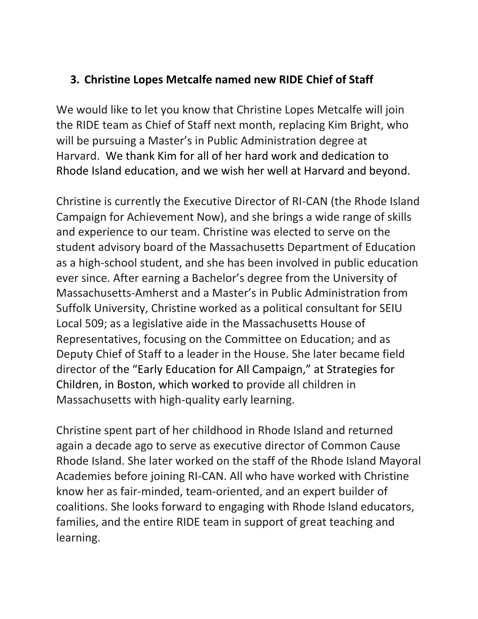### <span id="page-3-0"></span>**3. Christine Lopes Metcalfe named new RIDE Chief of Staff**

We would like to let you know that Christine Lopes Metcalfe will join the RIDE team as Chief of Staff next month, replacing Kim Bright, who will be pursuing a Master's in Public Administration degree at Harvard. We thank Kim for all of her hard work and dedication to Rhode Island education, and we wish her well at Harvard and beyond.

Christine is currently the Executive Director of RI-CAN (the Rhode Island Campaign for Achievement Now), and she brings a wide range of skills and experience to our team. Christine was elected to serve on the student advisory board of the Massachusetts Department of Education as a high-school student, and she has been involved in public education ever since. After earning a Bachelor's degree from the University of Massachusetts-Amherst and a Master's in Public Administration from Suffolk University, Christine worked as a political consultant for SEIU Local 509; as a legislative aide in the Massachusetts House of Representatives, focusing on the Committee on Education; and as Deputy Chief of Staff to a leader in the House. She later became field director of the "Early Education for All Campaign," at Strategies for Children, in Boston, which worked to provide all children in Massachusetts with high-quality early learning.

Christine spent part of her childhood in Rhode Island and returned again a decade ago to serve as executive director of Common Cause Rhode Island. She later worked on the staff of the Rhode Island Mayoral Academies before joining RI-CAN. All who have worked with Christine know her as fair-minded, team-oriented, and an expert builder of coalitions. She looks forward to engaging with Rhode Island educators, families, and the entire RIDE team in support of great teaching and learning.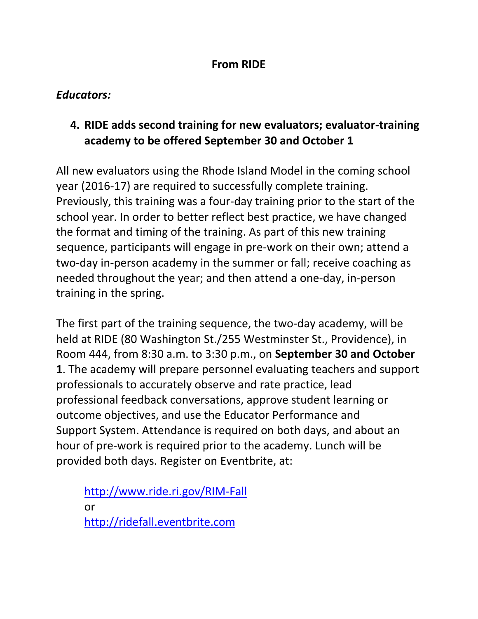#### **From RIDE**

### *Educators:*

# <span id="page-4-0"></span>**4. RIDE adds second training for new evaluators; evaluator-training academy to be offered September 30 and October 1**

All new evaluators using the Rhode Island Model in the coming school year (2016-17) are required to successfully complete training. Previously, this training was a four-day training prior to the start of the school year. In order to better reflect best practice, we have changed the format and timing of the training. As part of this new training sequence, participants will engage in pre-work on their own; attend a two-day in-person academy in the summer or fall; receive coaching as needed throughout the year; and then attend a one-day, in-person training in the spring.

The first part of the training sequence, the two-day academy, will be held at RIDE (80 Washington St./255 Westminster St., Providence), in Room 444, from 8:30 a.m. to 3:30 p.m., on **September 30 and October 1**. The academy will prepare personnel evaluating teachers and support professionals to accurately observe and rate practice, lead professional feedback conversations, approve student learning or outcome objectives, and use the Educator Performance and Support System. Attendance is required on both days, and about an hour of pre-work is required prior to the academy. Lunch will be provided both days. Register on Eventbrite, at:

<http://www.ride.ri.gov/RIM-Fall> or [http://ridefall.eventbrite.com](http://ridefall.eventbrite.com/)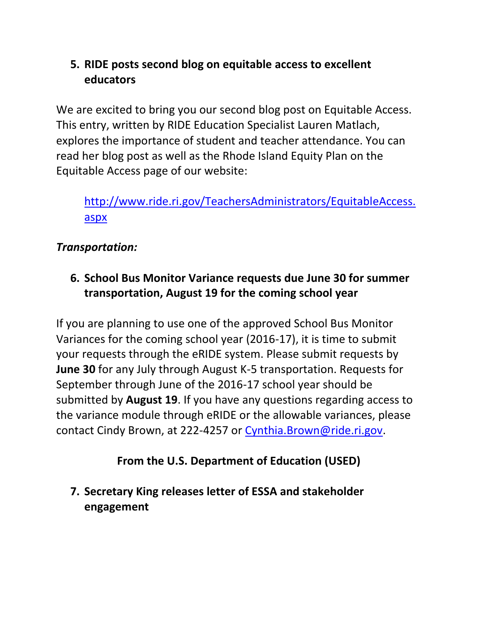# <span id="page-5-0"></span>**5. RIDE posts second blog on equitable access to excellent educators**

We are excited to bring you our second blog post on Equitable Access. This entry, written by RIDE Education Specialist Lauren Matlach, explores the importance of student and teacher attendance. You can read her blog post as well as the Rhode Island Equity Plan on the Equitable Access page of our website:

[http://www.ride.ri.gov/TeachersAdministrators/EquitableAccess.](http://www.ride.ri.gov/TeachersAdministrators/EquitableAccess.aspx) [aspx](http://www.ride.ri.gov/TeachersAdministrators/EquitableAccess.aspx)

# *Transportation:*

<span id="page-5-1"></span>**6. School Bus Monitor Variance requests due June 30 for summer transportation, August 19 for the coming school year**

If you are planning to use one of the approved School Bus Monitor Variances for the coming school year (2016-17), it is time to submit your requests through the eRIDE system. Please submit requests by **June 30** for any July through August K-5 transportation. Requests for September through June of the 2016-17 school year should be submitted by **August 19**. If you have any questions regarding access to the variance module through eRIDE or the allowable variances, please contact Cindy Brown, at 222-4257 or [Cynthia.Brown@ride.ri.gov.](mailto:Cynthia.Brown@ride.ri.gov)

### **From the U.S. Department of Education (USED)**

<span id="page-5-2"></span>**7. Secretary King releases letter of ESSA and stakeholder engagement**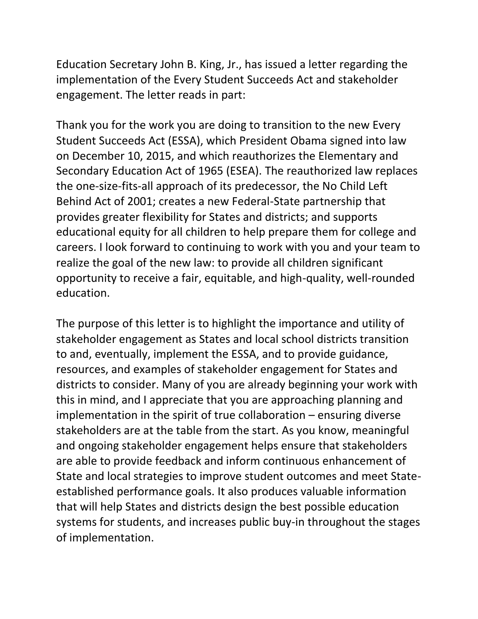Education Secretary John B. King, Jr., has issued a letter regarding the implementation of the Every Student Succeeds Act and stakeholder engagement. The letter reads in part:

Thank you for the work you are doing to transition to the new Every Student Succeeds Act (ESSA), which President Obama signed into law on December 10, 2015, and which reauthorizes the Elementary and Secondary Education Act of 1965 (ESEA). The reauthorized law replaces the one-size-fits-all approach of its predecessor, the No Child Left Behind Act of 2001; creates a new Federal-State partnership that provides greater flexibility for States and districts; and supports educational equity for all children to help prepare them for college and careers. I look forward to continuing to work with you and your team to realize the goal of the new law: to provide all children significant opportunity to receive a fair, equitable, and high-quality, well-rounded education.

The purpose of this letter is to highlight the importance and utility of stakeholder engagement as States and local school districts transition to and, eventually, implement the ESSA, and to provide guidance, resources, and examples of stakeholder engagement for States and districts to consider. Many of you are already beginning your work with this in mind, and I appreciate that you are approaching planning and implementation in the spirit of true collaboration – ensuring diverse stakeholders are at the table from the start. As you know, meaningful and ongoing stakeholder engagement helps ensure that stakeholders are able to provide feedback and inform continuous enhancement of State and local strategies to improve student outcomes and meet Stateestablished performance goals. It also produces valuable information that will help States and districts design the best possible education systems for students, and increases public buy-in throughout the stages of implementation.